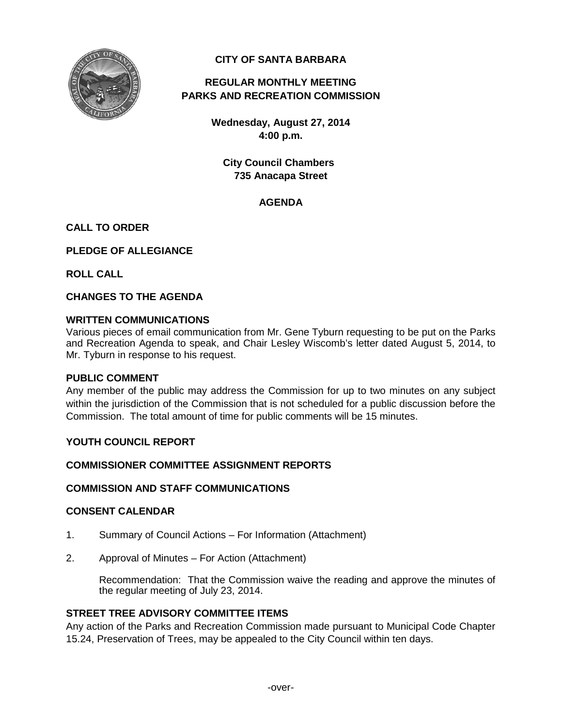

# **CITY OF SANTA BARBARA**

# **REGULAR MONTHLY MEETING PARKS AND RECREATION COMMISSION**

**Wednesday, August 27, 2014 4:00 p.m.**

**City Council Chambers 735 Anacapa Street**

# **AGENDA**

### **CALL TO ORDER**

**PLEDGE OF ALLEGIANCE**

**ROLL CALL**

**CHANGES TO THE AGENDA**

#### **WRITTEN COMMUNICATIONS**

Various pieces of email communication from Mr. Gene Tyburn requesting to be put on the Parks and Recreation Agenda to speak, and Chair Lesley Wiscomb's letter dated August 5, 2014, to Mr. Tyburn in response to his request.

### **PUBLIC COMMENT**

Any member of the public may address the Commission for up to two minutes on any subject within the jurisdiction of the Commission that is not scheduled for a public discussion before the Commission. The total amount of time for public comments will be 15 minutes.

### **YOUTH COUNCIL REPORT**

### **COMMISSIONER COMMITTEE ASSIGNMENT REPORTS**

### **COMMISSION AND STAFF COMMUNICATIONS**

#### **CONSENT CALENDAR**

- 1. Summary of Council Actions For Information (Attachment)
- 2. Approval of Minutes For Action (Attachment)

Recommendation: That the Commission waive the reading and approve the minutes of the regular meeting of July 23, 2014.

### **STREET TREE ADVISORY COMMITTEE ITEMS**

Any action of the Parks and Recreation Commission made pursuant to Municipal Code Chapter 15.24, Preservation of Trees, may be appealed to the City Council within ten days.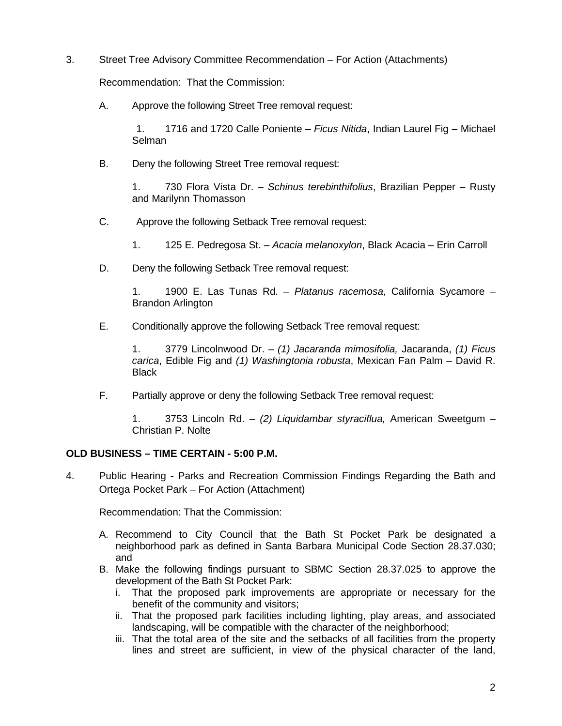3. Street Tree Advisory Committee Recommendation – For Action (Attachments)

Recommendation: That the Commission:

A. Approve the following Street Tree removal request:

1. 1716 and 1720 Calle Poniente – *Ficus Nitida*, Indian Laurel Fig – Michael Selman

B. Deny the following Street Tree removal request:

1. 730 Flora Vista Dr. – *Schinus terebinthifolius*, Brazilian Pepper – Rusty and Marilynn Thomasson

C. Approve the following Setback Tree removal request:

1. 125 E. Pedregosa St. – *Acacia melanoxylon*, Black Acacia – Erin Carroll

D. Deny the following Setback Tree removal request:

1. 1900 E. Las Tunas Rd. – *Platanus racemosa*, California Sycamore – Brandon Arlington

E. Conditionally approve the following Setback Tree removal request:

1. 3779 Lincolnwood Dr. – *(1) Jacaranda mimosifolia,* Jacaranda, *(1) Ficus carica*, Edible Fig and *(1) Washingtonia robusta*, Mexican Fan Palm – David R. **Black** 

F. Partially approve or deny the following Setback Tree removal request:

1. 3753 Lincoln Rd. – *(2) Liquidambar styraciflua,* American Sweetgum – Christian P. Nolte

### **OLD BUSINESS – TIME CERTAIN - 5:00 P.M.**

4. Public Hearing - Parks and Recreation Commission Findings Regarding the Bath and Ortega Pocket Park – For Action (Attachment)

Recommendation: That the Commission:

- A. Recommend to City Council that the Bath St Pocket Park be designated a neighborhood park as defined in Santa Barbara Municipal Code Section 28.37.030; and
- B. Make the following findings pursuant to SBMC Section 28.37.025 to approve the development of the Bath St Pocket Park:
	- i. That the proposed park improvements are appropriate or necessary for the benefit of the community and visitors;
	- ii. That the proposed park facilities including lighting, play areas, and associated landscaping, will be compatible with the character of the neighborhood;
	- iii. That the total area of the site and the setbacks of all facilities from the property lines and street are sufficient, in view of the physical character of the land,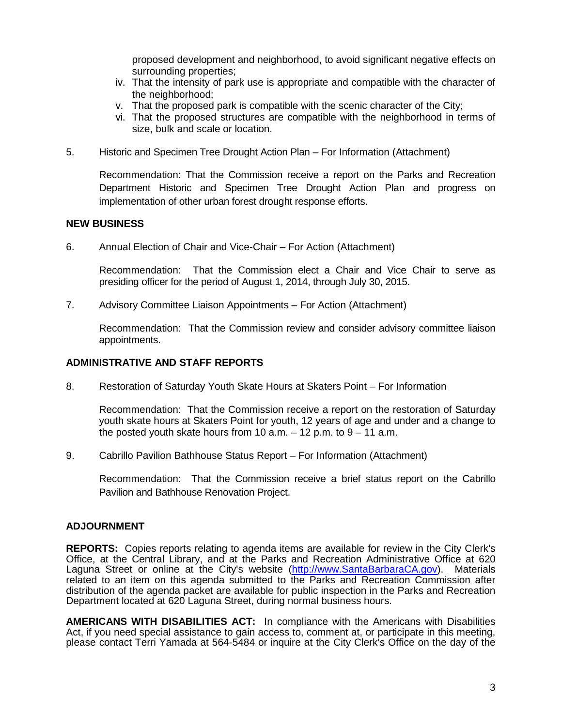proposed development and neighborhood, to avoid significant negative effects on surrounding properties;

- iv. That the intensity of park use is appropriate and compatible with the character of the neighborhood;
- v. That the proposed park is compatible with the scenic character of the City;
- vi. That the proposed structures are compatible with the neighborhood in terms of size, bulk and scale or location.
- 5. Historic and Specimen Tree Drought Action Plan For Information (Attachment)

Recommendation: That the Commission receive a report on the Parks and Recreation Department Historic and Specimen Tree Drought Action Plan and progress on implementation of other urban forest drought response efforts.

#### **NEW BUSINESS**

6. Annual Election of Chair and Vice-Chair – For Action (Attachment)

Recommendation: That the Commission elect a Chair and Vice Chair to serve as presiding officer for the period of August 1, 2014, through July 30, 2015.

7. Advisory Committee Liaison Appointments – For Action (Attachment)

Recommendation: That the Commission review and consider advisory committee liaison appointments.

## **ADMINISTRATIVE AND STAFF REPORTS**

8. Restoration of Saturday Youth Skate Hours at Skaters Point – For Information

Recommendation: That the Commission receive a report on the restoration of Saturday youth skate hours at Skaters Point for youth, 12 years of age and under and a change to the posted youth skate hours from 10  $a.m. - 12$  p.m. to  $9 - 11$   $a.m.$ 

9. Cabrillo Pavilion Bathhouse Status Report – For Information (Attachment)

Recommendation: That the Commission receive a brief status report on the Cabrillo Pavilion and Bathhouse Renovation Project.

#### **ADJOURNMENT**

**REPORTS:** Copies reports relating to agenda items are available for review in the City Clerk's Office, at the Central Library, and at the Parks and Recreation Administrative Office at 620 Laguna Street or online at the City's website [\(http://www.SantaBarbaraCA.gov\)](http://www.santabarbaraca.gov/). Materials related to an item on this agenda submitted to the Parks and Recreation Commission after distribution of the agenda packet are available for public inspection in the Parks and Recreation Department located at 620 Laguna Street, during normal business hours.

**AMERICANS WITH DISABILITIES ACT:** In compliance with the Americans with Disabilities Act, if you need special assistance to gain access to, comment at, or participate in this meeting, please contact Terri Yamada at 564-5484 or inquire at the City Clerk's Office on the day of the